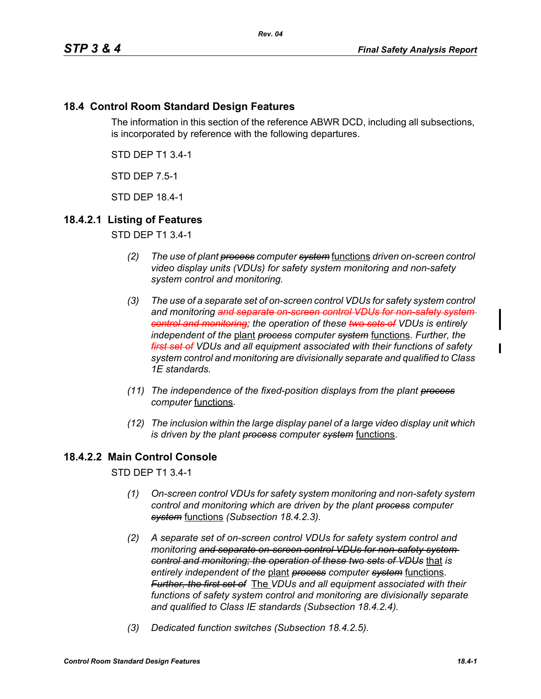## **18.4 Control Room Standard Design Features**

The information in this section of the reference ABWR DCD, including all subsections, is incorporated by reference with the following departures.

STD DEP T1 3.4-1

STD DEP 7.5-1

STD DEP 18.4-1

# **18.4.2.1 Listing of Features**

STD DEP T1 3.4-1

- *(2) The use of plant process computer system* functions *driven on-screen control video display units (VDUs) for safety system monitoring and non-safety system control and monitoring.*
- *(3) The use of a separate set of on-screen control VDUs for safety system control and monitoring and separate on-screen control VDUs for non-safety system control and monitoring; the operation of these two sets of VDUs is entirely independent of the* plant *process computer system* functions. *Further, the first set of VDUs and all equipment associated with their functions of safety system control and monitoring are divisionally separate and qualified to Class 1E standards.*
- *(11) The independence of the fixed-position displays from the plant process computer* functions.
- *(12) The inclusion within the large display panel of a large video display unit which is driven by the plant process computer system* functions.

# **18.4.2.2 Main Control Console**

STD DEP T1 3.4-1

- *(1) On-screen control VDUs for safety system monitoring and non-safety system control and monitoring which are driven by the plant process computer system* functions *(Subsection 18.4.2.3).*
- *(2) A separate set of on-screen control VDUs for safety system control and monitoring and separate on-screen control VDUs for non-safety system control and monitoring; the operation of these two sets of VDUs* that *is entirely independent of the* plant *process computer system* functions. *Further, the first set of* The *VDUs and all equipment associated with their functions of safety system control and monitoring are divisionally separate and qualified to Class IE standards (Subsection 18.4.2.4).*
- *(3) Dedicated function switches (Subsection 18.4.2.5).*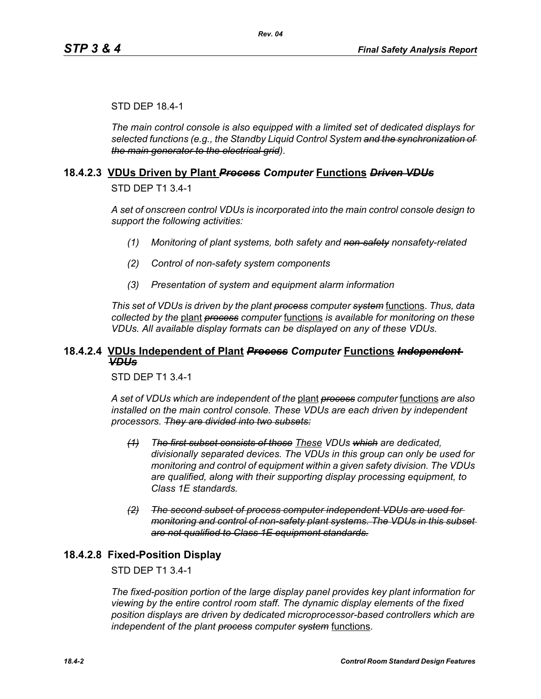#### STD DEP 18.4-1

*The main control console is also equipped with a limited set of dedicated displays for selected functions (e.g., the Standby Liquid Control System and the synchronization of the main generator to the electrical grid).*

#### **18.4.2.3 VDUs Driven by Plant** *Process Computer* **Functions** *Driven VDUs*

STD DEP T1 3.4-1

*A set of onscreen control VDUs is incorporated into the main control console design to support the following activities:*

- *(1) Monitoring of plant systems, both safety and non-safety nonsafety-related*
- *(2) Control of non-safety system components*
- *(3) Presentation of system and equipment alarm information*

*This set of VDUs is driven by the plant process computer system* functions. *Thus, data collected by the* plant *process computer* functions *is available for monitoring on these VDUs. All available display formats can be displayed on any of these VDUs.*

#### **18.4.2.4 VDUs Independent of Plant** *Process Computer* **Functions** *Independent VDUs*

STD DEP T1 3.4-1

*A set of VDUs which are independent of the* plant *process computer* functions *are also installed on the main control console. These VDUs are each driven by independent processors. They are divided into two subsets:*

- *(1) The first subset consists of those These VDUs which are dedicated, divisionally separated devices. The VDUs in this group can only be used for monitoring and control of equipment within a given safety division. The VDUs are qualified, along with their supporting display processing equipment, to Class 1E standards.*
- *(2) The second subset of process computer independent VDUs are used for monitoring and control of non-safety plant systems. The VDUs in this subset are not qualified to Class 1E equipment standards.*

#### **18.4.2.8 Fixed-Position Display**

#### STD DEP T1 3.4-1

*The fixed-position portion of the large display panel provides key plant information for viewing by the entire control room staff. The dynamic display elements of the fixed position displays are driven by dedicated microprocessor-based controllers which are independent of the plant process computer system* functions.